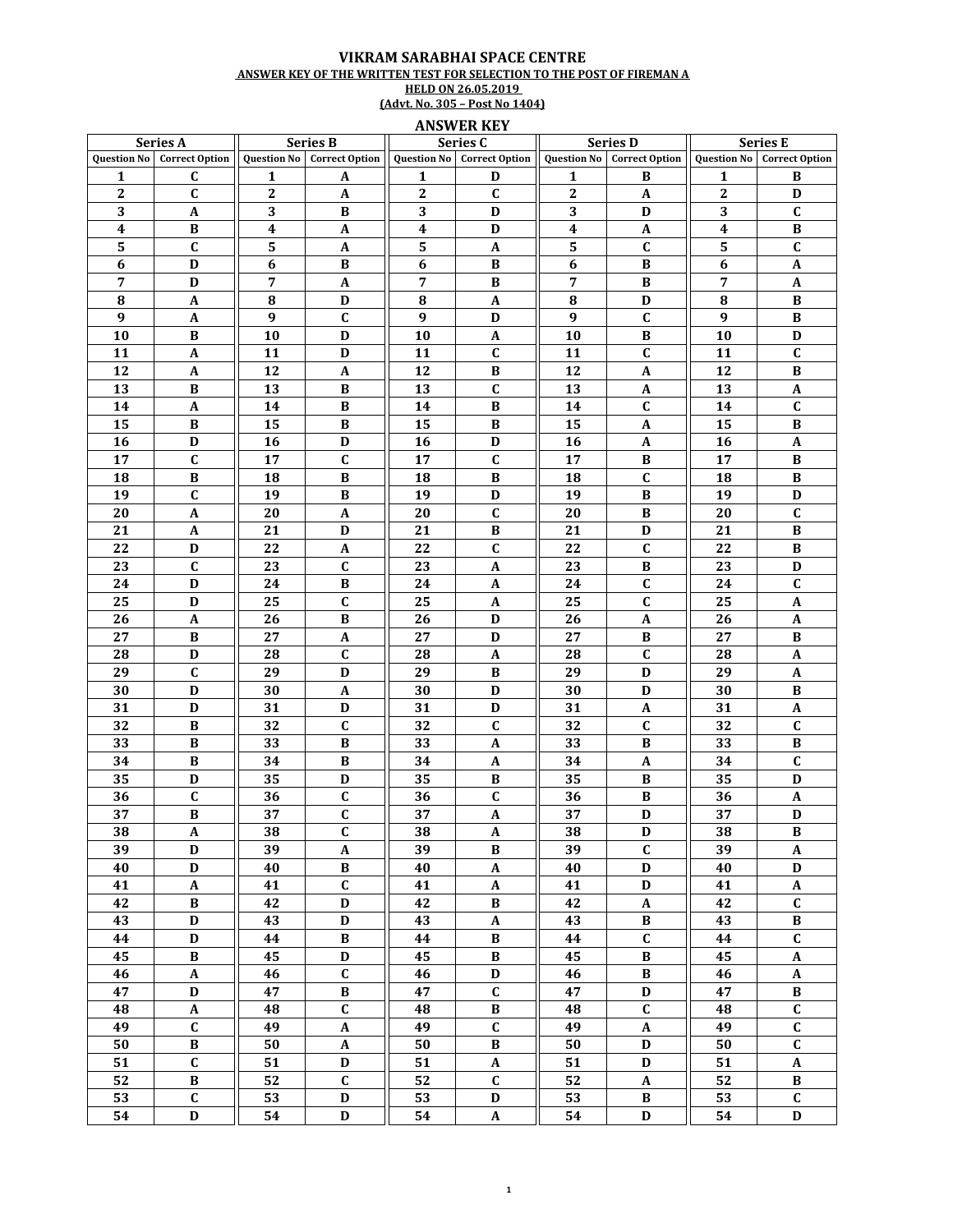## VIKRAM SARABHAI SPACE CENTRE ANSWER KEY OF THE WRITTEN TEST FOR SELECTION TO THE POST OF FIREMAN A HELD ON 26.05.2019<br>(Advt. No. 305 – Post No 1404)

## **ANSWER KEY**

| Series A        |                                   | <b>Series B</b> |                              | Series C        |                              | <b>Series D</b>    |                           | <b>Series E</b>    |                           |
|-----------------|-----------------------------------|-----------------|------------------------------|-----------------|------------------------------|--------------------|---------------------------|--------------------|---------------------------|
|                 | <b>Question No</b> Correct Option |                 | Question No   Correct Option |                 | Question No   Correct Option | <b>Question No</b> | <b>Correct Option</b>     | <b>Question No</b> | <b>Correct Option</b>     |
| 1               | $\mathbf c$                       | 1               | A                            | 1               | D                            | 1                  | B                         | 1                  | B                         |
| $\mathbf{2}$    | $\mathbf c$                       | $\mathbf{2}$    | $\mathbf A$                  | $\mathbf{2}$    | $\mathbf{C}$                 | $\boldsymbol{2}$   | $\mathbf{A}$              | $\boldsymbol{2}$   | D                         |
| 3               | A                                 | 3               | B                            | 3               | D                            | 3                  | D                         | 3                  | $\mathbf{C}$              |
|                 |                                   |                 |                              |                 |                              |                    |                           |                    |                           |
| 4               | B                                 | 4               | A                            | 4               | D                            | $\boldsymbol{4}$   | A                         | 4                  | В                         |
| 5               | $\mathbf{C}$                      | $\mathbf{5}$    | A                            | 5               | $\mathbf{A}$                 | 5                  | C                         | 5                  | $\mathbf C$               |
| 6               | D                                 | 6               | B                            | 6               | B                            | 6                  | В                         | 6                  | A                         |
| $\overline{7}$  | $\mathbf D$                       | $\overline{7}$  | $\mathbf{A}$                 | $\overline{7}$  | $\bf{B}$                     | $\overline{7}$     | $\bf{B}$                  | $\overline{7}$     | A                         |
| 8               | $\boldsymbol{A}$                  | 8               | D                            | 8               | $\boldsymbol{\mathsf{A}}$    | 8                  | D                         | 8                  | B                         |
| 9               | $\boldsymbol{A}$                  | 9               | $\mathbf C$                  | 9               | D                            | 9                  | $\mathbf{C}$              | 9                  | B                         |
| 10              | $\bf{B}$                          | 10              | D                            | 10              | $\mathbf{A}$                 | 10                 | B                         | 10                 | D                         |
| 11              | A                                 | 11              | D                            | 11              | $\mathbf C$                  | 11                 | $\mathbf C$               | 11                 | C                         |
| 12              | $\boldsymbol{A}$                  | 12              | $\mathbf A$                  | 12              | B                            | 12                 | $\mathbf{A}$              | 12                 | B                         |
| 13              | B                                 | 13              | B                            | 13              | $\mathbf C$                  | 13                 | $\mathbf{A}$              | 13                 | A                         |
| 14              |                                   | 14              | B                            | 14              | В                            | 14                 | C                         | 14                 | C                         |
|                 | A                                 |                 |                              |                 |                              |                    |                           |                    |                           |
| 15              | B                                 | 15              | B                            | 15              | В                            | 15                 | A                         | 15                 | В                         |
| 16              | D                                 | 16              | D                            | 16              | D                            | 16                 | A                         | 16                 | A                         |
| 17              | $\mathbf c$                       | 17              | $\mathbf{C}$                 | 17              | $\mathbf C$                  | 17                 | $\bf{B}$                  | 17                 | $\, {\bf B}$              |
| 18              | $\bf{B}$                          | 18              | B                            | 18              | $\bf{B}$                     | 18                 | $\mathbf{C}$              | 18                 | $\bf{B}$                  |
| 19              | $\mathbf c$                       | 19              | B                            | 19              | D                            | 19                 | B                         | 19                 | D                         |
| 20              | $\mathbf A$                       | 20              | $\mathbf A$                  | 20              | $\mathbf C$                  | 20                 | B                         | 20                 | $\mathbf{C}$              |
| 21              | $\boldsymbol{A}$                  | 21              | D                            | 21              | B                            | 21                 | $\mathbf D$               | 21                 | $\, {\bf B}$              |
| 22              | D                                 | 22              | $\mathbf A$                  | 22              | $\mathbf C$                  | 22                 | $\mathbf{C}$              | 22                 | B                         |
| 23              | $\mathbf{C}$                      | 23              | $\mathbf C$                  | 23              | $\mathbf A$                  | 23                 | B                         | 23                 | D                         |
| 24              | D                                 | 24              | В                            | 24              | A                            | 24                 | C                         | 24                 | C                         |
| 25              | D                                 | 25              | $\mathbf{C}$                 | 25              | $\mathbf{A}$                 | 25                 | $\mathbf{C}$              | 25                 | A                         |
|                 |                                   |                 |                              |                 |                              |                    |                           |                    |                           |
| 26              | A                                 | 26              | B                            | 26              | D                            | 26                 | A                         | 26                 | A                         |
| 27              | $\bf{B}$                          | 27              | $\mathbf A$                  | 27              | D                            | 27                 | $\bf{B}$                  | 27                 | $\, {\bf B}$              |
| 28              | D                                 | 28              | $\mathbf{C}$                 | 28              | A                            | 28                 | $\mathbf{C}$              | 28                 | $\boldsymbol{A}$          |
| 29              | $\mathbf{C}$                      | 29              | D                            | 29              | B                            | 29                 | D                         | 29                 | A                         |
| 30              | D                                 | 30              | $\boldsymbol{A}$             | 30              | D                            | 30                 | D                         | 30                 | B                         |
| 31              | D                                 | 31              | D                            | 31              | D                            | 31                 | A                         | 31                 | A                         |
| 32              | B                                 | 32              | $\mathbf{C}$                 | 32              | $\mathbf C$                  | 32                 | $\mathbf{C}$              | 32                 | $\mathbf{C}$              |
| 33              | B                                 | 33              | B                            | 33              | $\mathbf{A}$                 | 33                 | B                         | 33                 | B                         |
| 34              | В                                 | 34              | B                            | 34              | A                            | 34                 | A                         | 34                 | C                         |
| 35              | D                                 | 35              | D                            | 35              | B                            | 35                 | B                         | 35                 | D                         |
| 36              | $\mathbf C$                       | 36              | $\mathbf{C}$                 | 36              | $\mathbf C$                  | 36                 | B                         | 36                 | A                         |
| 37              | $\, {\bf B}$                      | 37              | $\mathbf C$                  | 37              | $\pmb{A}$                    | 37                 | $\mathbf D$               | 37                 | $\mathbf D$               |
|                 |                                   |                 |                              |                 |                              | 38                 |                           |                    |                           |
| $\overline{38}$ | $\pmb{A}$                         | $\overline{38}$ | $\overline{c}$               | $\overline{38}$ | $\pmb{A}$                    |                    | $\overline{\mathbf{D}}$   | $\overline{38}$    | $\overline{B}$            |
| 39              | D                                 | 39              | $\mathbf A$                  | 39              | B                            | 39                 | $\mathbf{C}$              | 39                 | $\boldsymbol{A}$          |
| 40              | D                                 | 40              | $\, {\bf B}$                 | 40              | $\mathbf A$                  | 40                 | D                         | 40                 | $\mathbf D$               |
| 41              | $\boldsymbol{\rm{A}}$             | 41              | $\mathbf C$                  | 41              | $\boldsymbol{\rm{A}}$        | 41                 | $\mathbf D$               | 41                 | $\boldsymbol{A}$          |
| 42              | $\, {\bf B} \,$                   | 42              | $\mathbf D$                  | 42              | $\, {\bf B}$                 | 42                 | $\boldsymbol{\mathsf{A}}$ | 42                 | $\mathbf C$               |
| 43              | D                                 | 43              | $\mathbf D$                  | 43              | $\boldsymbol{\mathsf{A}}$    | 43                 | B                         | 43                 | B                         |
| 44              | D                                 | 44              | B                            | 44              | B                            | 44                 | C                         | 44                 | $\mathbf C$               |
| 45              | B                                 | 45              | $\mathbf D$                  | 45              | B                            | 45                 | B                         | 45                 | $\boldsymbol{\mathsf{A}}$ |
| 46              | $\mathbf A$                       | 46              | $\mathbf C$                  | 46              | $\mathbf D$                  | 46                 | $\, {\bf B}$              | 46                 | $\boldsymbol{A}$          |
| 47              | $\mathbf D$                       | 47              | $\, {\bf B}$                 | 47              | $\mathbf C$                  | 47                 | $\mathbf D$               | 47                 | $\, {\bf B}$              |
| 48              | $\boldsymbol{\mathsf{A}}$         | 48              | $\mathbf C$                  | 48              | $\bf{B}$                     | 48                 | $\mathbf{C}$              | 48                 | $\mathbf C$               |
|                 |                                   |                 |                              |                 |                              |                    |                           |                    |                           |
| 49              | $\mathbf C$                       | 49              | $\boldsymbol{A}$             | 49              | $\mathbf C$                  | 49                 | $\mathbf A$               | 49                 | $\mathbf{C}$              |
| 50              | $\, {\bf B}$                      | 50              | $\pmb{A}$                    | 50              | $\, {\bf B}$                 | 50                 | D                         | 50                 | $\overline{\mathfrak{c}}$ |
| 51              | $\mathbf C$                       | 51              | $\mathbf D$                  | 51              | $\boldsymbol{\rm{A}}$        | 51                 | $\mathbf D$               | 51                 | $\boldsymbol{\mathsf{A}}$ |
| 52              | $\, {\bf B}$                      | 52              | $\mathbf C$                  | 52              | $\mathbf C$                  | 52                 | $\mathbf A$               | 52                 | $\, {\bf B}$              |
| 53              | $\mathbf C$                       | 53              | $\mathbf D$                  | 53              | $\mathbf D$                  | 53                 | $\, {\bf B}$              | 53                 | $\mathbf C$               |
| 54              | D                                 | 54              | D                            | 54              | $\mathbf{A}$                 | 54                 | D                         | 54                 | D                         |
|                 |                                   |                 |                              |                 |                              |                    |                           |                    |                           |